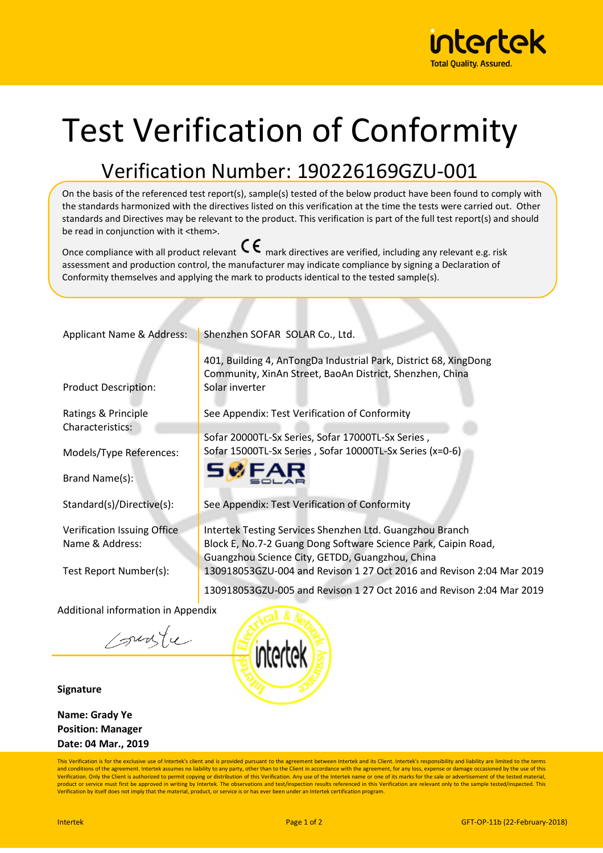

## Test Verification of Conformity

## Verification Number: 190226169GZU-001

On the basis of the referenced test report(s), sample(s) tested of the below product have been found to comply with the standards harmonized with the directives listed on this verification at the time the tests were carried out. Other standards and Directives may be relevant to the product. This verification is part of the full test report(s) and should be read in conjunction with it <them>.

Once compliance with all product relevant  $\mathsf{C}\boldsymbol{\epsilon}$  mark directives are verified, including any relevant e.g. risk assessment and production control, the manufacturer may indicate compliance by signing a Declaration of Conformity themselves and applying the mark to products identical to the tested sample(s).

| Applicant Name & Address:                 | Shenzhen SOFAR SOLAR Co., Ltd.                                                                                                                 |  |
|-------------------------------------------|------------------------------------------------------------------------------------------------------------------------------------------------|--|
| <b>Product Description:</b>               | 401, Building 4, AnTongDa Industrial Park, District 68, XingDong<br>Community, XinAn Street, BaoAn District, Shenzhen, China<br>Solar inverter |  |
| Ratings & Principle                       | See Appendix: Test Verification of Conformity                                                                                                  |  |
| Characteristics:                          | Sofar 20000TL-Sx Series, Sofar 17000TL-Sx Series,                                                                                              |  |
| Models/Type References:                   | Sofar 15000TL-Sx Series, Sofar 10000TL-Sx Series (x=0-6)                                                                                       |  |
| Brand Name(s):                            | <b>SWF</b>                                                                                                                                     |  |
| Standard(s)/Directive(s):                 | See Appendix: Test Verification of Conformity                                                                                                  |  |
| Verification Issuing Office               | Intertek Testing Services Shenzhen Ltd. Guangzhou Branch                                                                                       |  |
| Name & Address:                           | Block E, No.7-2 Guang Dong Software Science Park, Caipin Road,<br>Guangzhou Science City, GETDD, Guangzhou, China                              |  |
| Test Report Number(s):                    | 130918053GZU-004 and Revison 1 27 Oct 2016 and Revison 2:04 Mar 2019                                                                           |  |
|                                           | 130918053GZU-005 and Revison 1 27 Oct 2016 and Revison 2:04 Mar 2019                                                                           |  |
| <b>Additional information in Appendix</b> |                                                                                                                                                |  |



**Signature** 

**Name: Grady Ye Position: Manager Date: 04 Mar., 2019**

This Verification is for the exclusive use of Intertek's client and is provided pursuant to the agreement between Intertek and its Client. Intertek's responsibility and liability are limited to the terms and conditions of the agreement. Intertek assumes no liability to any party, other than to the Client in accordance with the agreement, for any loss, expense or damage occasioned by the use of this<br>Verification. Only the C product or service must first be approved in writing by Intertek. The observations and test/inspection results referenced in this Verification are relevant only to the sample tested/inspected. This<br>Verification by itself d

intertek